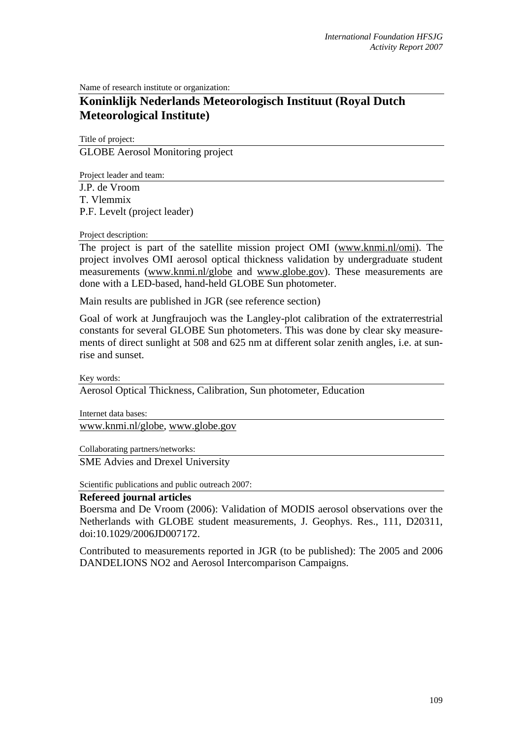Name of research institute or organization:

# **Koninklijk Nederlands Meteorologisch Instituut (Royal Dutch Meteorological Institute)**

Title of project: GLOBE Aerosol Monitoring project

Project leader and team:

J.P. de Vroom T. Vlemmix P.F. Levelt (project leader)

Project description:

The project is part of the satellite mission project OMI (www.knmi.nl/omi). The project involves OMI aerosol optical thickness validation by undergraduate student measurements (www.knmi.nl/globe and www.globe.gov). These measurements are done with a LED-based, hand-held GLOBE Sun photometer.

Main results are published in JGR (see reference section)

Goal of work at Jungfraujoch was the Langley-plot calibration of the extraterrestrial constants for several GLOBE Sun photometers. This was done by clear sky measurements of direct sunlight at 508 and 625 nm at different solar zenith angles, i.e. at sunrise and sunset.

Key words:

Aerosol Optical Thickness, Calibration, Sun photometer, Education

Internet data bases: www.knmi.nl/globe, www.globe.gov

Collaborating partners/networks: SME Advies and Drexel University

Scientific publications and public outreach 2007:

#### **Refereed journal articles**

Boersma and De Vroom (2006): Validation of MODIS aerosol observations over the Netherlands with GLOBE student measurements, J. Geophys. Res., 111, D20311, doi:10.1029/2006JD007172.

Contributed to measurements reported in JGR (to be published): The 2005 and 2006 DANDELIONS NO2 and Aerosol Intercomparison Campaigns.